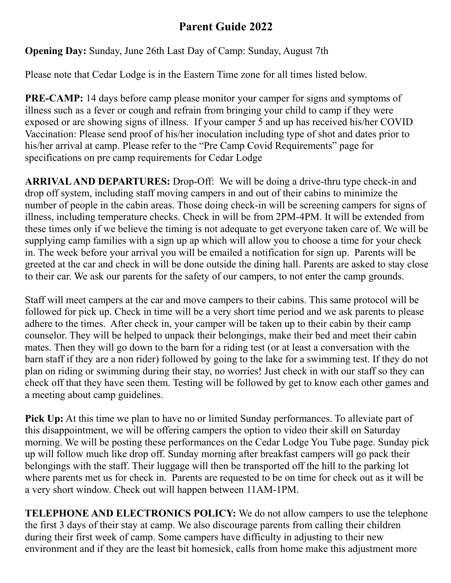## **Parent Guide 2022**

## **Opening Day:** Sunday, June 26th Last Day of Camp: Sunday, August 7th

Please note that Cedar Lodge is in the Eastern Time zone for all times listed below.

**PRE-CAMP:** 14 days before camp please monitor your camper for signs and symptoms of illness such as a fever or cough and refrain from bringing your child to camp if they were exposed or are showing signs of illness. If your camper 5 and up has received his/her COVID Vaccination: Please send proof of his/her inoculation including type of shot and dates prior to his/her arrival at camp. Please refer to the "Pre Camp Covid Requirements" page for specifications on pre camp requirements for Cedar Lodge

**ARRIVAL AND DEPARTURES:** Drop-Off: We will be doing a drive-thru type check-in and drop off system, including staff moving campers in and out of their cabins to minimize the number of people in the cabin areas. Those doing check-in will be screening campers for signs of illness, including temperature checks. Check in will be from 2PM-4PM. It will be extended from these times only if we believe the timing is not adequate to get everyone taken care of. We will be supplying camp families with a sign up ap which will allow you to choose a time for your check in. The week before your arrival you will be emailed a notification for sign up. Parents will be greeted at the car and check in will be done outside the dining hall. Parents are asked to stay close to their car. We ask our parents for the safety of our campers, to not enter the camp grounds.

Staff will meet campers at the car and move campers to their cabins. This same protocol will be followed for pick up. Check in time will be a very short time period and we ask parents to please adhere to the times. After check in, your camper will be taken up to their cabin by their camp counselor. They will be helped to unpack their belongings, make their bed and meet their cabin mates. Then they will go down to the barn for a riding test (or at least a conversation with the barn staff if they are a non rider) followed by going to the lake for a swimming test. If they do not plan on riding or swimming during their stay, no worries! Just check in with our staff so they can check off that they have seen them. Testing will be followed by get to know each other games and a meeting about camp guidelines.

**Pick Up:** At this time we plan to have no or limited Sunday performances. To alleviate part of this disappointment, we will be offering campers the option to video their skill on Saturday morning. We will be posting these performances on the Cedar Lodge You Tube page. Sunday pick up will follow much like drop off. Sunday morning after breakfast campers will go pack their belongings with the staff. Their luggage will then be transported off the hill to the parking lot where parents met us for check in. Parents are requested to be on time for check out as it will be a very short window. Check out will happen between 11AM-1PM.

**TELEPHONE AND ELECTRONICS POLICY:** We do not allow campers to use the telephone the first 3 days of their stay at camp. We also discourage parents from calling their children during their first week of camp. Some campers have difficulty in adjusting to their new environment and if they are the least bit homesick, calls from home make this adjustment more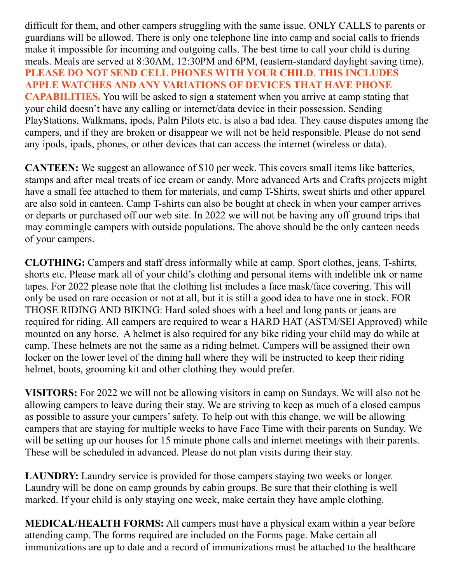difficult for them, and other campers struggling with the same issue. ONLY CALLS to parents or guardians will be allowed. There is only one telephone line into camp and social calls to friends make it impossible for incoming and outgoing calls. The best time to call your child is during meals. Meals are served at 8:30AM, 12:30PM and 6PM, (eastern-standard daylight saving time). **PLEASE DO NOT SEND CELL PHONES WITH YOUR CHILD. THIS INCLUDES APPLE WATCHES AND ANY VARIATIONS OF DEVICES THAT HAVE PHONE CAPABILITIES.** You will be asked to sign a statement when you arrive at camp stating that your child doesn't have any calling or internet/data device in their possession. Sending PlayStations, Walkmans, ipods, Palm Pilots etc. is also a bad idea. They cause disputes among the campers, and if they are broken or disappear we will not be held responsible. Please do not send any ipods, ipads, phones, or other devices that can access the internet (wireless or data).

**CANTEEN:** We suggest an allowance of \$10 per week. This covers small items like batteries, stamps and after meal treats of ice cream or candy. More advanced Arts and Crafts projects might have a small fee attached to them for materials, and camp T-Shirts, sweat shirts and other apparel are also sold in canteen. Camp T-shirts can also be bought at check in when your camper arrives or departs or purchased off our web site. In 2022 we will not be having any off ground trips that may commingle campers with outside populations. The above should be the only canteen needs of your campers.

**CLOTHING:** Campers and staff dress informally while at camp. Sport clothes, jeans, T-shirts, shorts etc. Please mark all of your child's clothing and personal items with indelible ink or name tapes. For 2022 please note that the clothing list includes a face mask/face covering. This will only be used on rare occasion or not at all, but it is still a good idea to have one in stock. FOR THOSE RIDING AND BIKING: Hard soled shoes with a heel and long pants or jeans are required for riding. All campers are required to wear a HARD HAT (ASTM/SEI Approved) while mounted on any horse. A helmet is also required for any bike riding your child may do while at camp. These helmets are not the same as a riding helmet. Campers will be assigned their own locker on the lower level of the dining hall where they will be instructed to keep their riding helmet, boots, grooming kit and other clothing they would prefer.

**VISITORS:** For 2022 we will not be allowing visitors in camp on Sundays. We will also not be allowing campers to leave during their stay. We are striving to keep as much of a closed campus as possible to assure your campers' safety. To help out with this change, we will be allowing campers that are staying for multiple weeks to have Face Time with their parents on Sunday. We will be setting up our houses for 15 minute phone calls and internet meetings with their parents. These will be scheduled in advanced. Please do not plan visits during their stay.

**LAUNDRY:** Laundry service is provided for those campers staying two weeks or longer. Laundry will be done on camp grounds by cabin groups. Be sure that their clothing is well marked. If your child is only staying one week, make certain they have ample clothing.

**MEDICAL/HEALTH FORMS:** All campers must have a physical exam within a year before attending camp. The forms required are included on the Forms page. Make certain all immunizations are up to date and a record of immunizations must be attached to the healthcare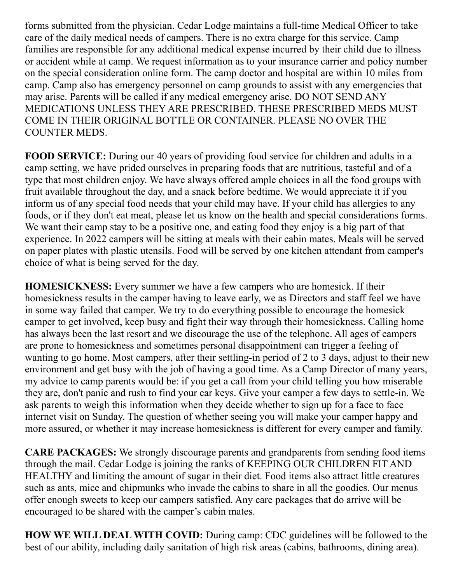forms submitted from the physician. Cedar Lodge maintains a full-time Medical Officer to take care of the daily medical needs of campers. There is no extra charge for this service. Camp families are responsible for any additional medical expense incurred by their child due to illness or accident while at camp. We request information as to your insurance carrier and policy number on the special consideration online form. The camp doctor and hospital are within 10 miles from camp. Camp also has emergency personnel on camp grounds to assist with any emergencies that may arise. Parents will be called if any medical emergency arise. DO NOT SEND ANY MEDICATIONS UNLESS THEY ARE PRESCRIBED. THESE PRESCRIBED MEDS MUST COME IN THEIR ORIGINAL BOTTLE OR CONTAINER. PLEASE NO OVER THE COUNTER MEDS.

**FOOD SERVICE:** During our 40 years of providing food service for children and adults in a camp setting, we have prided ourselves in preparing foods that are nutritious, tasteful and of a type that most children enjoy. We have always offered ample choices in all the food groups with fruit available throughout the day, and a snack before bedtime. We would appreciate it if you inform us of any special food needs that your child may have. If your child has allergies to any foods, or if they don't eat meat, please let us know on the health and special considerations forms. We want their camp stay to be a positive one, and eating food they enjoy is a big part of that experience. In 2022 campers will be sitting at meals with their cabin mates. Meals will be served on paper plates with plastic utensils. Food will be served by one kitchen attendant from camper's choice of what is being served for the day.

**HOMESICKNESS:** Every summer we have a few campers who are homesick. If their homesickness results in the camper having to leave early, we as Directors and staff feel we have in some way failed that camper. We try to do everything possible to encourage the homesick camper to get involved, keep busy and fight their way through their homesickness. Calling home has always been the last resort and we discourage the use of the telephone. All ages of campers are prone to homesickness and sometimes personal disappointment can trigger a feeling of wanting to go home. Most campers, after their settling-in period of 2 to 3 days, adjust to their new environment and get busy with the job of having a good time. As a Camp Director of many years, my advice to camp parents would be: if you get a call from your child telling you how miserable they are, don't panic and rush to find your car keys. Give your camper a few days to settle-in. We ask parents to weigh this information when they decide whether to sign up for a face to face internet visit on Sunday. The question of whether seeing you will make your camper happy and more assured, or whether it may increase homesickness is different for every camper and family.

**CARE PACKAGES:** We strongly discourage parents and grandparents from sending food items through the mail. Cedar Lodge is joining the ranks of KEEPING OUR CHILDREN FIT AND HEALTHY and limiting the amount of sugar in their diet. Food items also attract little creatures such as ants, mice and chipmunks who invade the cabins to share in all the goodies. Our menus offer enough sweets to keep our campers satisfied. Any care packages that do arrive will be encouraged to be shared with the camper's cabin mates.

**HOW WE WILL DEAL WITH COVID:** During camp: CDC guidelines will be followed to the best of our ability, including daily sanitation of high risk areas (cabins, bathrooms, dining area).